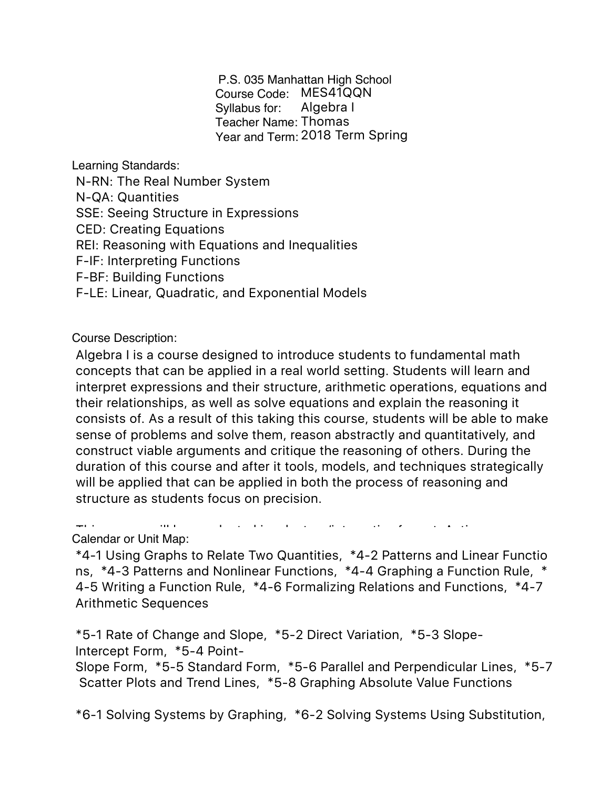P.S. 035 Manhattan High School Course Code: MES41QQN Syllabus for: Teacher Name: Thomas Year and Term: 2018 Term Spring Algebra I

Learning Standards:

N-RN: The Real Number System N-QA: Quantities SSE: Seeing Structure in Expressions CED: Creating Equations REI: Reasoning with Equations and Inequalities F-IF: Interpreting Functions F-BF: Building Functions F-LE: Linear, Quadratic, and Exponential Models

Course Description:

Algebra I is a course designed to introduce students to fundamental math concepts that can be applied in a real world setting. Students will learn and interpret expressions and their structure, arithmetic operations, equations and their relationships, as well as solve equations and explain the reasoning it consists of. As a result of this taking this course, students will be able to make sense of problems and solve them, reason abstractly and quantitatively, and construct viable arguments and critique the reasoning of others. During the duration of this course and after it tools, models, and techniques strategically will be applied that can be applied in both the process of reasoning and structure as students focus on precision.

this course will be conducted in a lecture/interactive format. Active format. Active format. Active format. A<br>Definition for a letter format.

Calendar or Unit Map:

\*4-1 Using Graphs to Relate Two Quantities, \*4-2 Patterns and Linear Functio ns, \*4-3 Patterns and Nonlinear Functions, \*4-4 Graphing a Function Rule, \* 4-5 Writing a Function Rule, \*4-6 Formalizing Relations and Functions, \*4-7 Arithmetic Sequences

\*5-1 Rate of Change and Slope, \*5-2 Direct Variation, \*5-3 Slope-Intercept Form, \*5-4 Point-

Slope Form, \*5-5 Standard Form, \*5-6 Parallel and Perpendicular Lines, \*5-7 Scatter Plots and Trend Lines, \*5-8 Graphing Absolute Value Functions

\*6-1 Solving Systems by Graphing, \*6-2 Solving Systems Using Substitution,